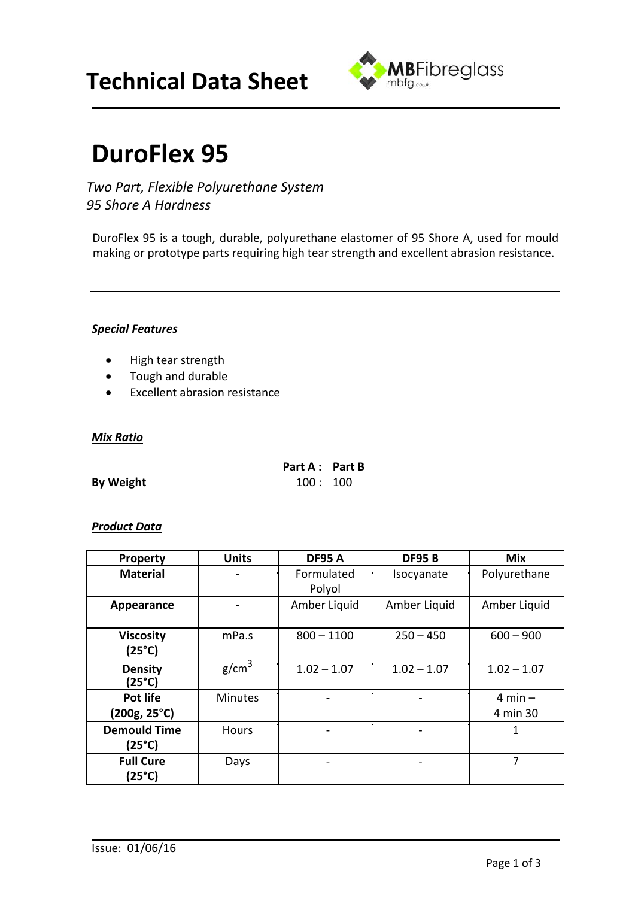## **Technical Data Sheet**



# **DuroFlex 95**

*Two Part, Flexible Polyurethane System 95 Shore A Hardness*

DuroFlex 95 is a tough, durable, polyurethane elastomer of 95 Shore A, used for mould making or prototype parts requiring high tear strength and excellent abrasion resistance.

#### *Special Features*

- High tear strength
- Tough and durable
- Excellent abrasion resistance

#### *Mix Ratio*

| Part A : Part B |  |
|-----------------|--|
| 100:100         |  |

**By Weight** 

#### *Product Data*

| <b>Property</b>               | <b>Units</b>      | <b>DF95 A</b>        | <b>DF95B</b>  | Mix                     |
|-------------------------------|-------------------|----------------------|---------------|-------------------------|
| <b>Material</b>               |                   | Formulated<br>Polyol | Isocyanate    | Polyurethane            |
| Appearance                    |                   | Amber Liquid         | Amber Liquid  | Amber Liquid            |
| <b>Viscosity</b><br>(25°C)    | mPa.s             | $800 - 1100$         | $250 - 450$   | $600 - 900$             |
| <b>Density</b><br>(25°C)      | g/cm <sup>3</sup> | $1.02 - 1.07$        | $1.02 - 1.07$ | $1.02 - 1.07$           |
| Pot life<br>(200g, 25°C)      | <b>Minutes</b>    |                      |               | $4$ min $-$<br>4 min 30 |
| <b>Demould Time</b><br>(25°C) | <b>Hours</b>      |                      |               | 1                       |
| <b>Full Cure</b><br>(25°C)    | Days              |                      |               | 7                       |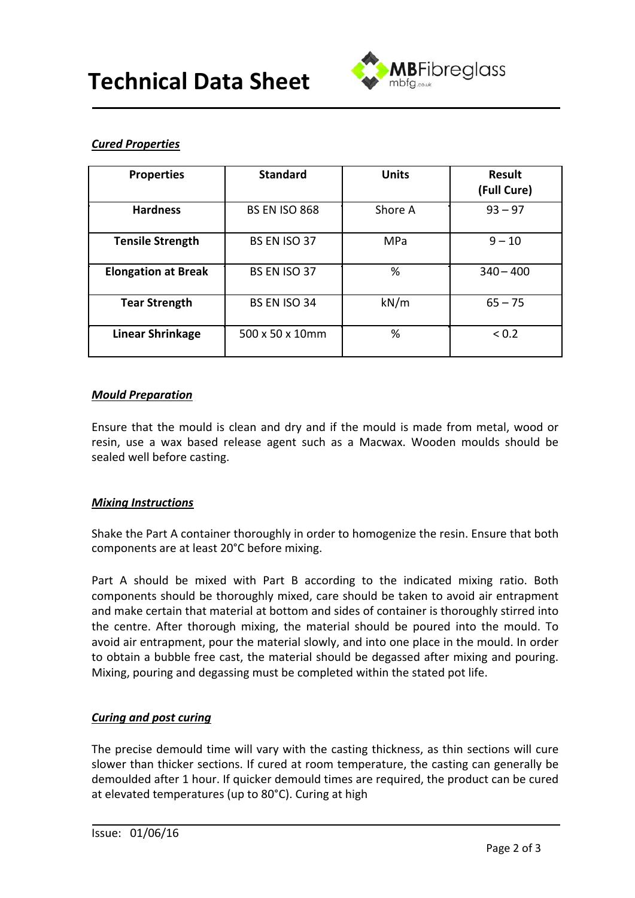

## *Cured Properties*

| <b>Properties</b>          | <b>Standard</b>      | <b>Units</b> | <b>Result</b><br>(Full Cure) |
|----------------------------|----------------------|--------------|------------------------------|
| <b>Hardness</b>            | <b>BS EN ISO 868</b> | Shore A      | $93 - 97$                    |
| <b>Tensile Strength</b>    | BS EN ISO 37         | <b>MPa</b>   | $9 - 10$                     |
| <b>Elongation at Break</b> | BS EN ISO 37         | %            | $340 - 400$                  |
| <b>Tear Strength</b>       | BS EN ISO 34         | kN/m         | $65 - 75$                    |
| <b>Linear Shrinkage</b>    | 500 x 50 x 10mm      | %            | < 0.2                        |

#### *Mould Preparation*

Ensure that the mould is clean and dry and if the mould is made from metal, wood or resin, use a wax based release agent such as a Macwax. Wooden moulds should be sealed well before casting.

## *Mixing Instructions*

Shake the Part A container thoroughly in order to homogenize the resin. Ensure that both components are at least 20°C before mixing.

Part A should be mixed with Part B according to the indicated mixing ratio. Both components should be thoroughly mixed, care should be taken to avoid air entrapment and make certain that material at bottom and sides of container is thoroughly stirred into the centre. After thorough mixing, the material should be poured into the mould. To avoid air entrapment, pour the material slowly, and into one place in the mould. In order to obtain a bubble free cast, the material should be degassed after mixing and pouring. Mixing, pouring and degassing must be completed within the stated pot life.

## *Curing and post curing*

The precise demould time will vary with the casting thickness, as thin sections will cure slower than thicker sections. If cured at room temperature, the casting can generally be demoulded after 1 hour. If quicker demould times are required, the product can be cured at elevated temperatures (up to 80°C). Curing at high